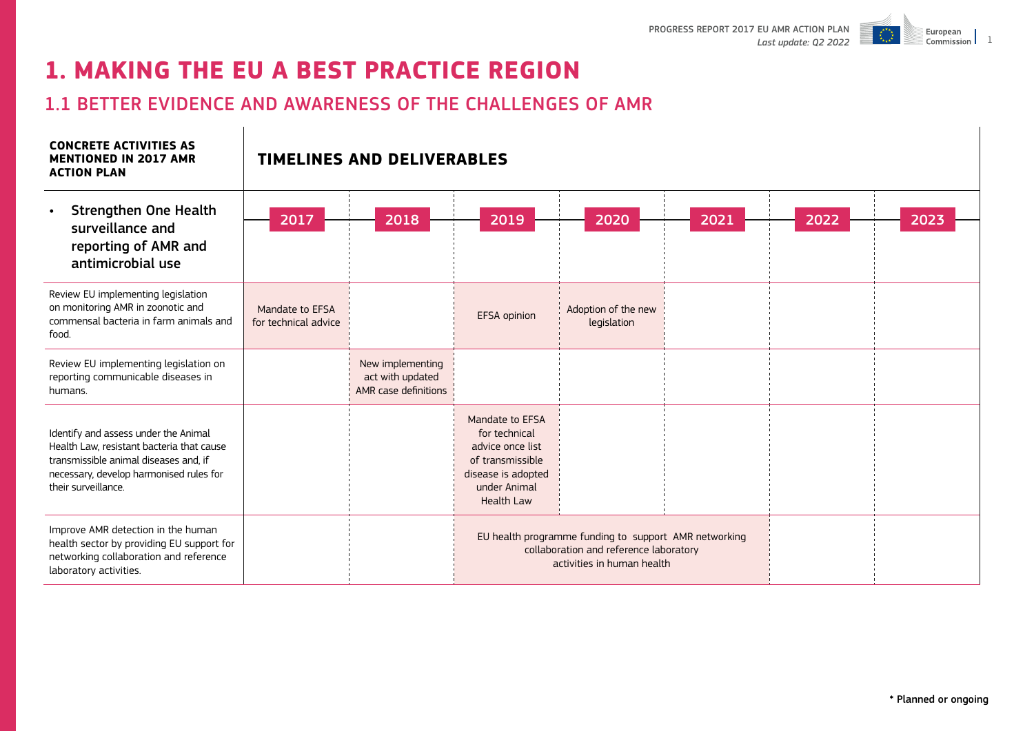

# **1. MAKING THE EU A BEST PRACTICE REGION**

 $\mathbf{r}$ 

# 1.1 BETTER EVIDENCE AND AWARENESS OF THE CHALLENGES OF AMR

| <b>CONCRETE ACTIVITIES AS</b><br><b>MENTIONED IN 2017 AMR</b><br><b>ACTION PLAN</b>                                                                                                          |                                         | <b>TIMELINES AND DELIVERABLES</b>                            |                                                                                                                                     |                                    |      |      |      |  |  |  |
|----------------------------------------------------------------------------------------------------------------------------------------------------------------------------------------------|-----------------------------------------|--------------------------------------------------------------|-------------------------------------------------------------------------------------------------------------------------------------|------------------------------------|------|------|------|--|--|--|
| <b>Strengthen One Health</b><br>$\bullet$<br>surveillance and<br>reporting of AMR and<br>antimicrobial use                                                                                   | 2017                                    | 2018                                                         | 2019                                                                                                                                | 2020                               | 2021 | 2022 | 2023 |  |  |  |
| Review EU implementing legislation<br>on monitoring AMR in zoonotic and<br>commensal bacteria in farm animals and<br>food.                                                                   | Mandate to EFSA<br>for technical advice |                                                              | EFSA opinion                                                                                                                        | Adoption of the new<br>legislation |      |      |      |  |  |  |
| Review EU implementing legislation on<br>reporting communicable diseases in<br>humans.                                                                                                       |                                         | New implementing<br>act with updated<br>AMR case definitions |                                                                                                                                     |                                    |      |      |      |  |  |  |
| Identify and assess under the Animal<br>Health Law, resistant bacteria that cause<br>transmissible animal diseases and, if<br>necessary, develop harmonised rules for<br>their surveillance. |                                         |                                                              | Mandate to EFSA<br>for technical<br>advice once list<br>of transmissible<br>disease is adopted<br>under Animal<br><b>Health Law</b> |                                    |      |      |      |  |  |  |
| Improve AMR detection in the human<br>health sector by providing EU support for<br>networking collaboration and reference<br>laboratory activities.                                          |                                         |                                                              | EU health programme funding to support AMR networking<br>collaboration and reference laboratory<br>activities in human health       |                                    |      |      |      |  |  |  |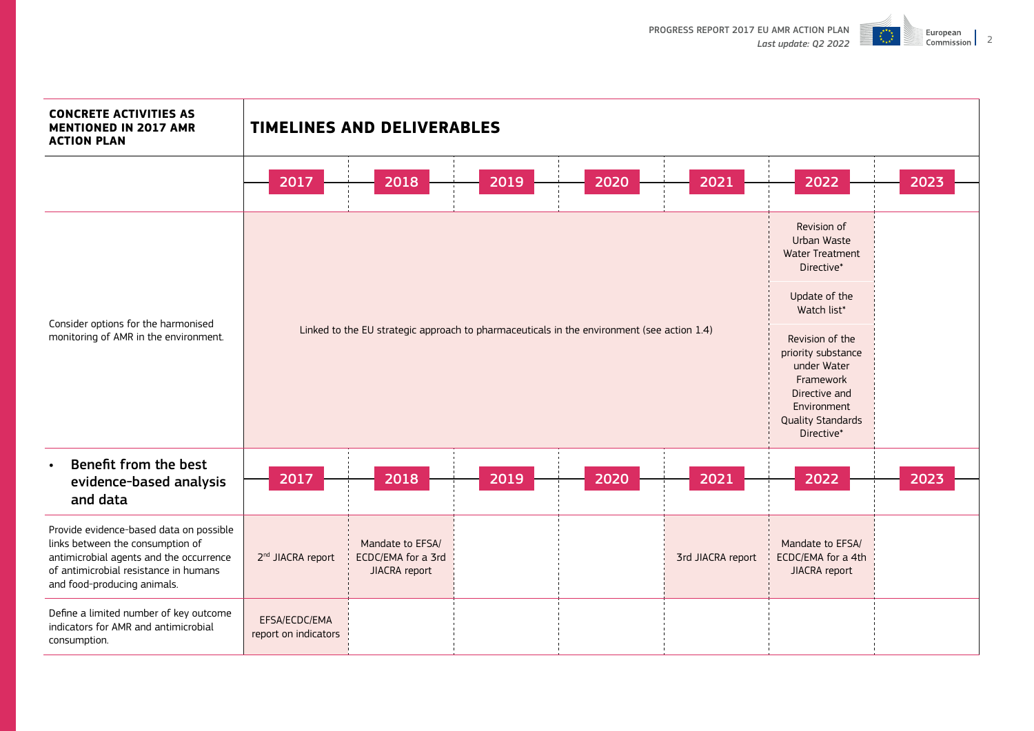

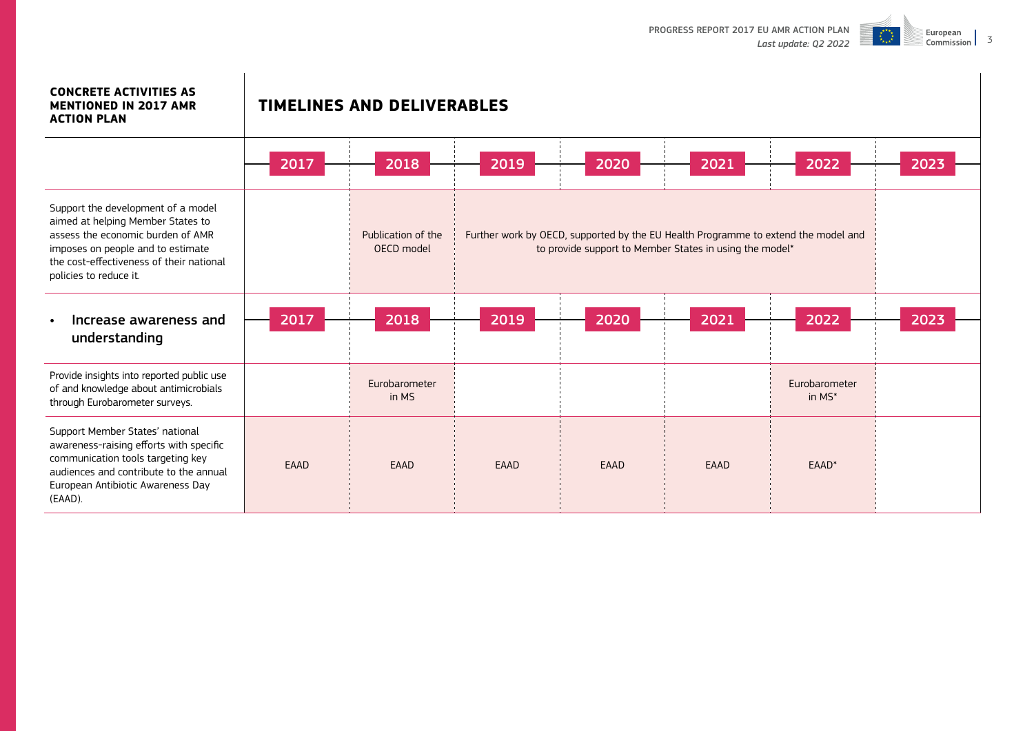

### **CONCRETE ACTIVITIES AS MENTIONED IN 2017 AMR**

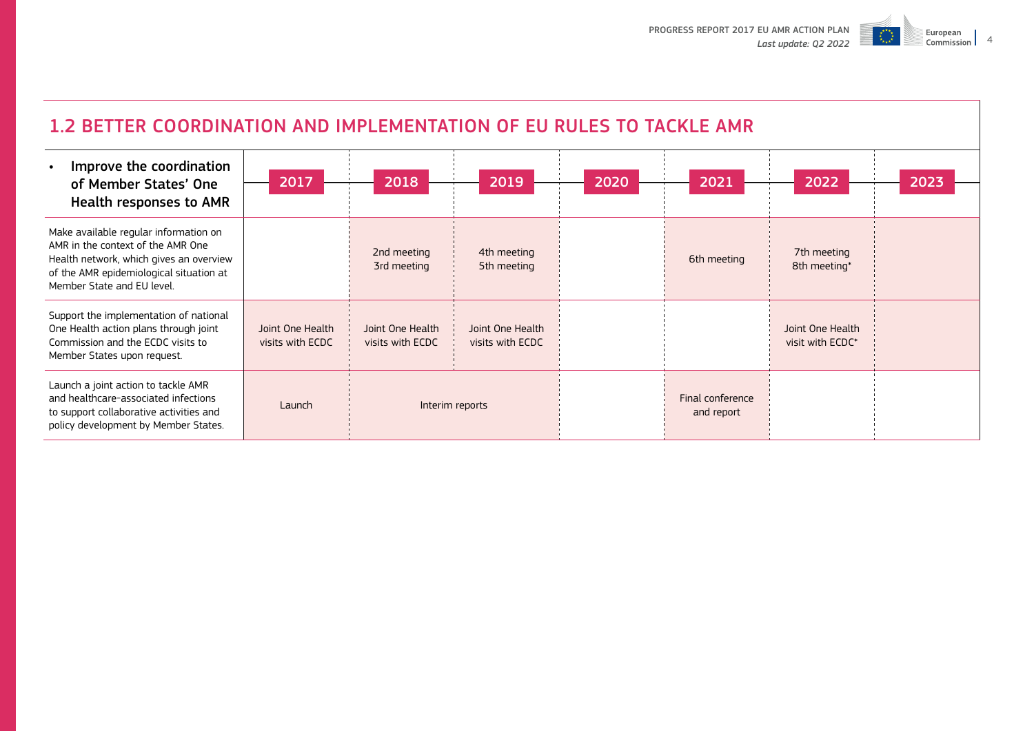

| 1.2 BETTER COORDINATION AND IMPLEMENTATION OF EU RULES TO TACKLE AMR                                                                                                                           |                                      |                                      |                                      |      |                                |                                      |      |  |  |  |
|------------------------------------------------------------------------------------------------------------------------------------------------------------------------------------------------|--------------------------------------|--------------------------------------|--------------------------------------|------|--------------------------------|--------------------------------------|------|--|--|--|
| Improve the coordination<br>of Member States' One<br><b>Health responses to AMR</b>                                                                                                            | 2017                                 | 2018                                 | 2019                                 | 2020 | 2021                           | 2022                                 | 2023 |  |  |  |
| Make available regular information on<br>AMR in the context of the AMR One<br>Health network, which gives an overview<br>of the AMR epidemiological situation at<br>Member State and EU level. |                                      | 2nd meeting<br>3rd meeting           | 4th meeting<br>5th meeting           |      | 6th meeting                    | 7th meeting<br>8th meeting*          |      |  |  |  |
| Support the implementation of national<br>One Health action plans through joint<br>Commission and the ECDC visits to<br>Member States upon request.                                            | Joint One Health<br>visits with ECDC | Joint One Health<br>visits with ECDC | Joint One Health<br>visits with ECDC |      |                                | Joint One Health<br>visit with ECDC* |      |  |  |  |
| Launch a joint action to tackle AMR<br>and healthcare-associated infections<br>to support collaborative activities and<br>policy development by Member States.                                 | Launch                               |                                      | Interim reports                      |      | Final conference<br>and report |                                      |      |  |  |  |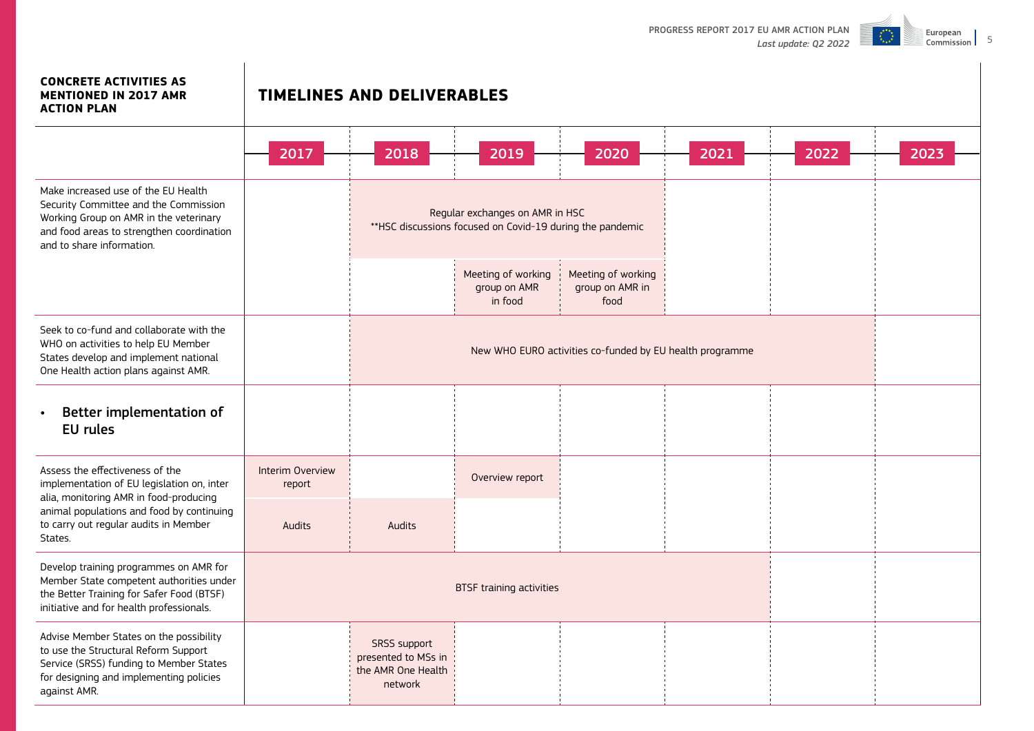

#### **CONCRETE ACTIVITIES AS MENTIONED IN 2017 AMR**

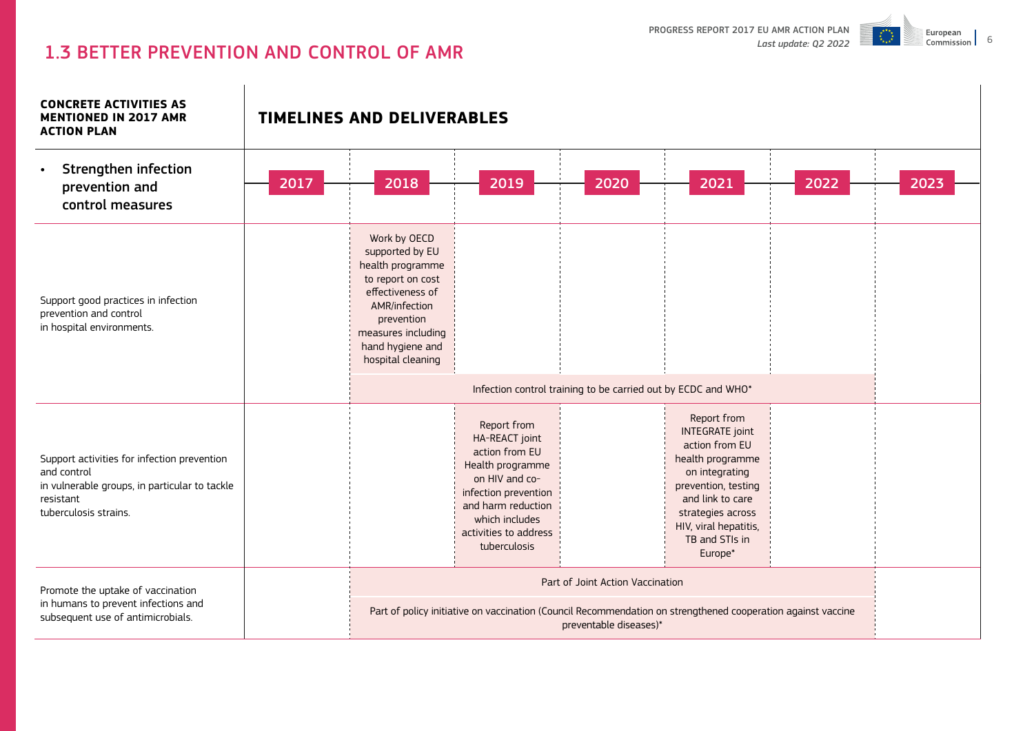

# 1.3 BETTER PREVENTION AND CONTROL OF AMR

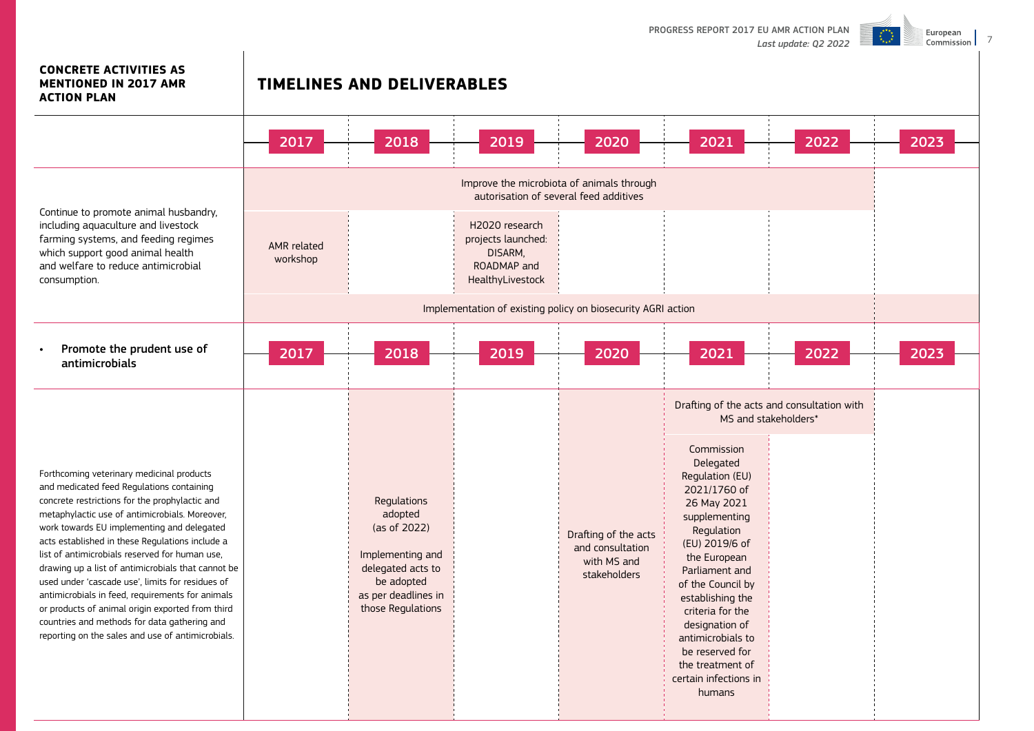

7

## **CONCRETE ACTIVITIES AS MENTIONED IN 2017 AMR**

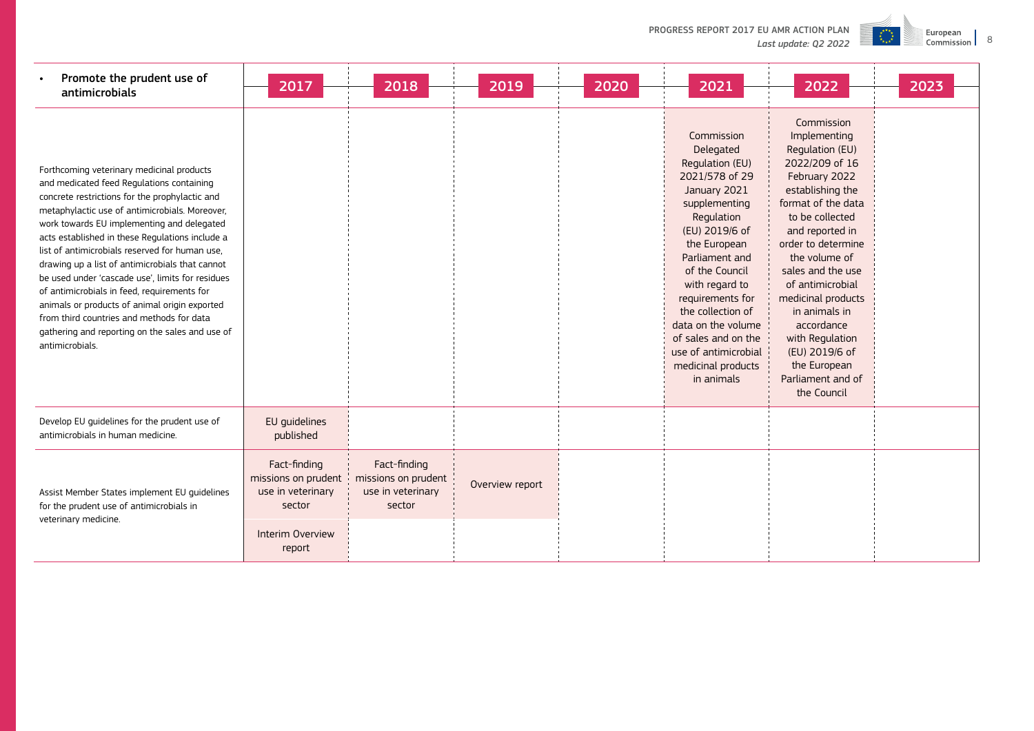| Promote the prudent use of<br>$\bullet$<br>antimicrobials                                                                                                                                                                                                                                                                                                                                                                                                                                                                                                                                                                                                               | 2017                                                               | 2018                                                               | 2019            | 2020 | 2021                                                                                                                                                                                                                                                                                                                                                  | 2022                                                                                                                                                                                                                                                                                                                                                                                           | 2023 |
|-------------------------------------------------------------------------------------------------------------------------------------------------------------------------------------------------------------------------------------------------------------------------------------------------------------------------------------------------------------------------------------------------------------------------------------------------------------------------------------------------------------------------------------------------------------------------------------------------------------------------------------------------------------------------|--------------------------------------------------------------------|--------------------------------------------------------------------|-----------------|------|-------------------------------------------------------------------------------------------------------------------------------------------------------------------------------------------------------------------------------------------------------------------------------------------------------------------------------------------------------|------------------------------------------------------------------------------------------------------------------------------------------------------------------------------------------------------------------------------------------------------------------------------------------------------------------------------------------------------------------------------------------------|------|
| Forthcoming veterinary medicinal products<br>and medicated feed Regulations containing<br>concrete restrictions for the prophylactic and<br>metaphylactic use of antimicrobials. Moreover,<br>work towards EU implementing and delegated<br>acts established in these Regulations include a<br>list of antimicrobials reserved for human use.<br>drawing up a list of antimicrobials that cannot<br>be used under 'cascade use', limits for residues<br>of antimicrobials in feed, requirements for<br>animals or products of animal origin exported<br>from third countries and methods for data<br>gathering and reporting on the sales and use of<br>antimicrobials. |                                                                    |                                                                    |                 |      | Commission<br>Delegated<br>Regulation (EU)<br>2021/578 of 29<br>January 2021<br>supplementing<br>Regulation<br>(EU) 2019/6 of<br>the European<br>Parliament and<br>of the Council<br>with regard to<br>requirements for<br>the collection of<br>data on the volume<br>of sales and on the<br>use of antimicrobial<br>medicinal products<br>in animals | Commission<br>Implementing<br>Regulation (EU)<br>2022/209 of 16<br>February 2022<br>establishing the<br>format of the data<br>to be collected<br>and reported in<br>order to determine<br>the volume of<br>sales and the use<br>of antimicrobial<br>medicinal products<br>in animals in<br>accordance<br>with Regulation<br>(EU) 2019/6 of<br>the European<br>Parliament and of<br>the Council |      |
| Develop EU guidelines for the prudent use of<br>antimicrobials in human medicine.                                                                                                                                                                                                                                                                                                                                                                                                                                                                                                                                                                                       | EU guidelines<br>published                                         |                                                                    |                 |      |                                                                                                                                                                                                                                                                                                                                                       |                                                                                                                                                                                                                                                                                                                                                                                                |      |
| Assist Member States implement EU quidelines<br>for the prudent use of antimicrobials in                                                                                                                                                                                                                                                                                                                                                                                                                                                                                                                                                                                | Fact-finding<br>missions on prudent<br>use in veterinary<br>sector | Fact-finding<br>missions on prudent<br>use in veterinary<br>sector | Overview report |      |                                                                                                                                                                                                                                                                                                                                                       |                                                                                                                                                                                                                                                                                                                                                                                                |      |
| veterinary medicine.                                                                                                                                                                                                                                                                                                                                                                                                                                                                                                                                                                                                                                                    | Interim Overview<br>report                                         |                                                                    |                 |      |                                                                                                                                                                                                                                                                                                                                                       |                                                                                                                                                                                                                                                                                                                                                                                                |      |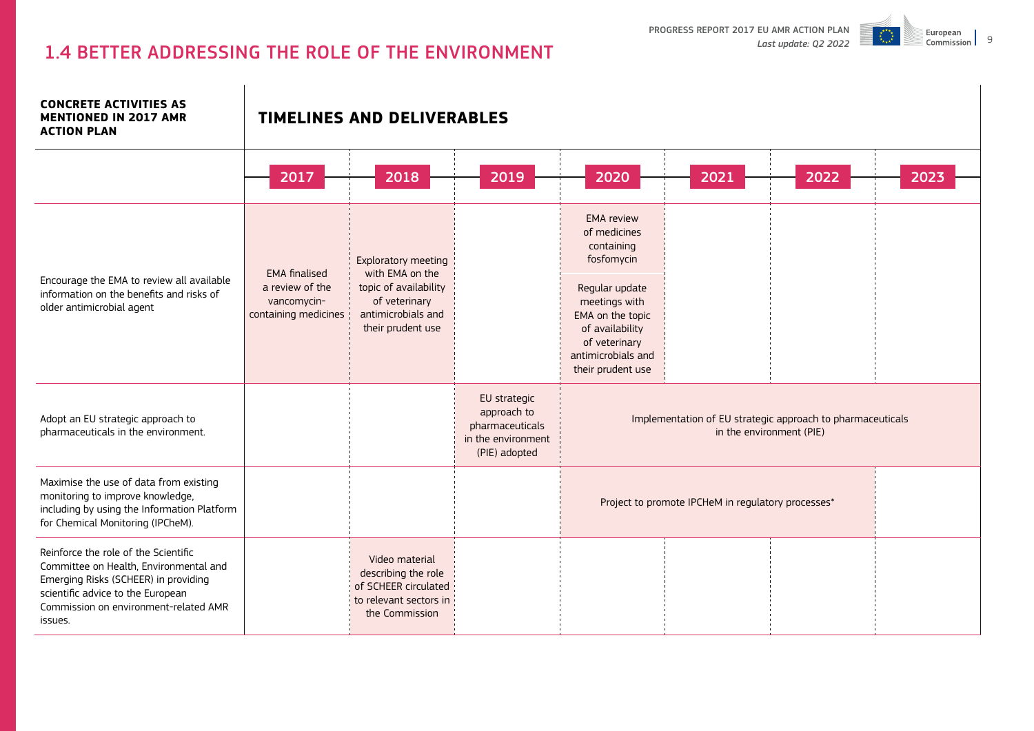

# 1.4 BETTER ADDRESSING THE ROLE OF THE ENVIRONMENT

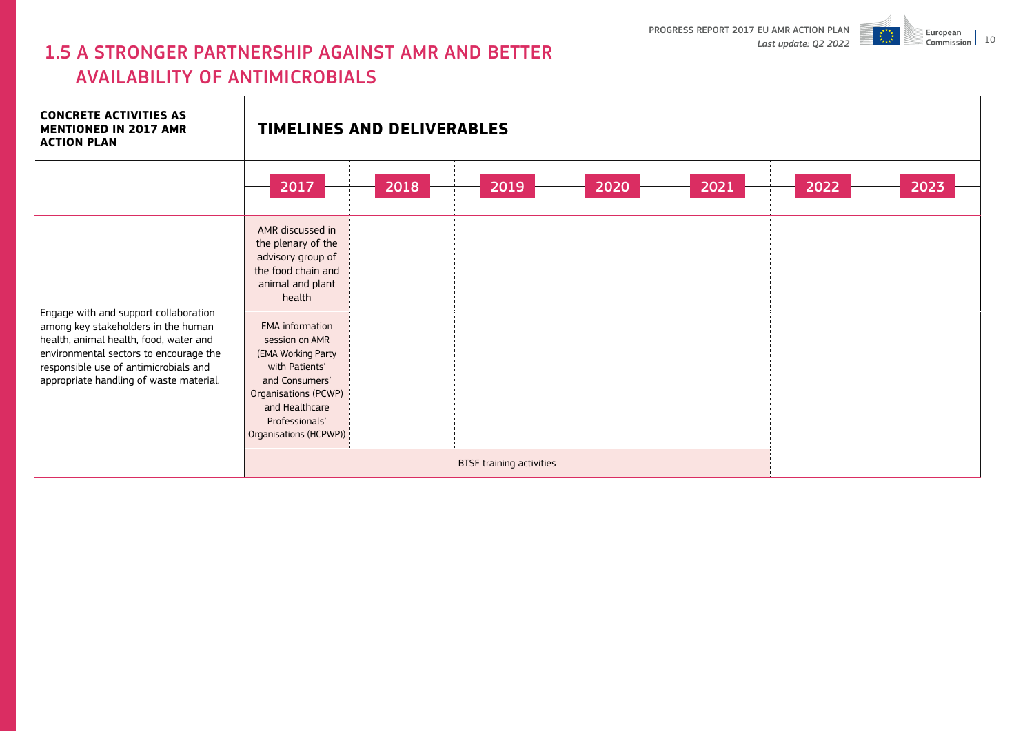

# 1.5 A STRONGER PARTNERSHIP AGAINST AMR AND BETTER AVAILABILITY OF ANTIMICROBIALS

**CONCRETE ACTIVITIES AS MENTIONED IN 2017 AMR ACTION PLAN TIMELINES AND DELIVERABLES** Engage with and support collaboration among key stakeholders in the human health, animal health, food, water and environmental sectors to encourage the responsible use of antimicrobials and appropriate handling of waste material. AMR discussed in the plenary of the advisory group of the food chain and animal and plant health EMA information session on AMR (EMA Working Party with Patients' and Consumers' Organisations (PCWP) and Healthcare Professionals' Organisations (HCPWP)) BTSF training activities 2017 2018 2019 2020 2021 2022 2023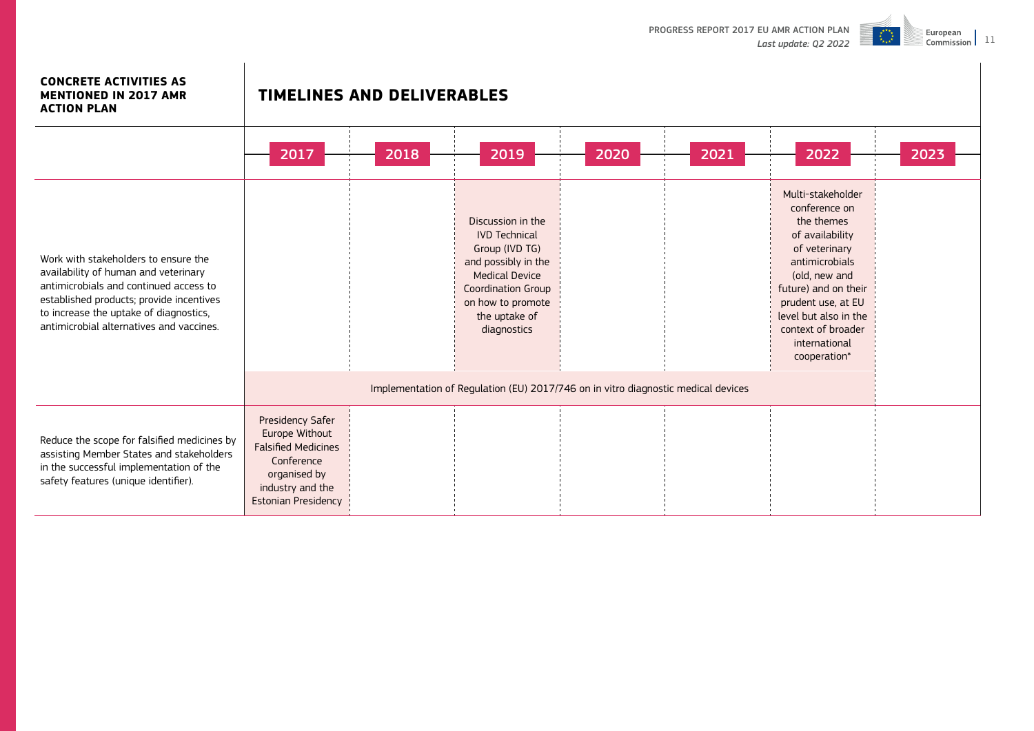

#### **CONCRETE ACTIVITIES AS MENTIONED IN 2017 AMR**

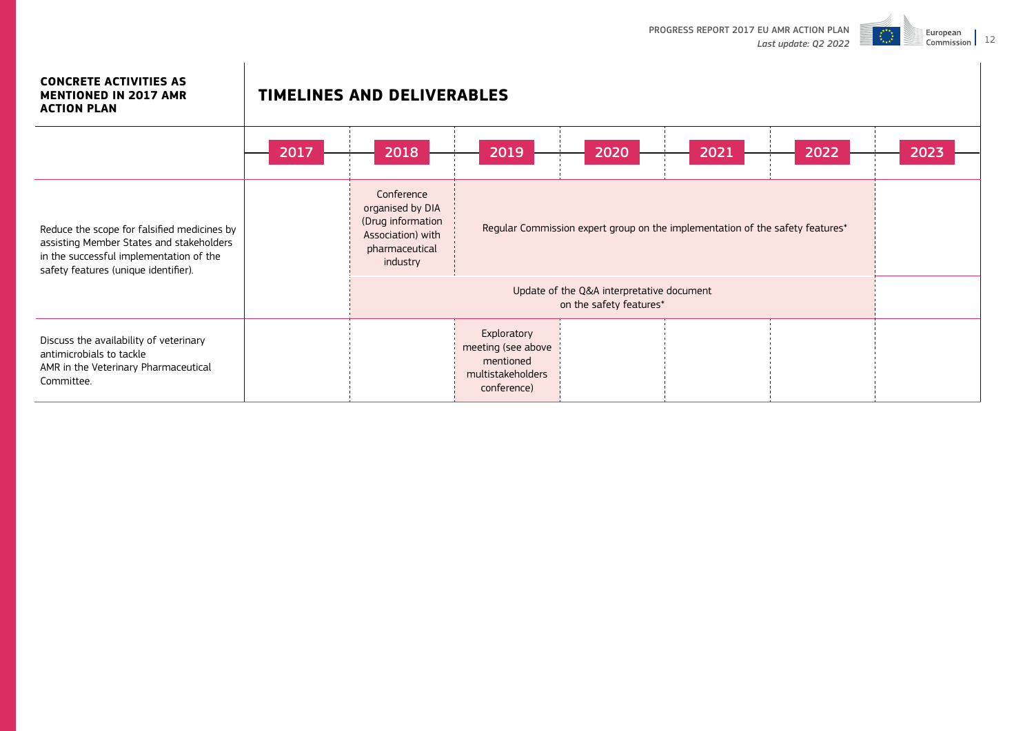

#### **CONCRETE ACTIVITIES AS MENTIONED IN 2017 AMR ACTION PLAN**

|                                                                                                                                                                            | 2017 | 2018                                                                                                   | 2019                                                                               | 2020 | 2021 | 2022 | 2023 |  |
|----------------------------------------------------------------------------------------------------------------------------------------------------------------------------|------|--------------------------------------------------------------------------------------------------------|------------------------------------------------------------------------------------|------|------|------|------|--|
| Reduce the scope for falsified medicines by<br>assisting Member States and stakeholders<br>in the successful implementation of the<br>safety features (unique identifier). |      | Conference<br>organised by DIA<br>(Drug information<br>Association) with<br>pharmaceutical<br>industry | Regular Commission expert group on the implementation of the safety features*      |      |      |      |      |  |
|                                                                                                                                                                            |      |                                                                                                        |                                                                                    |      |      |      |      |  |
| Discuss the availability of veterinary<br>antimicrobials to tackle<br>AMR in the Veterinary Pharmaceutical<br>Committee.                                                   |      |                                                                                                        | Exploratory<br>meeting (see above<br>mentioned<br>multistakeholders<br>conference) |      |      |      |      |  |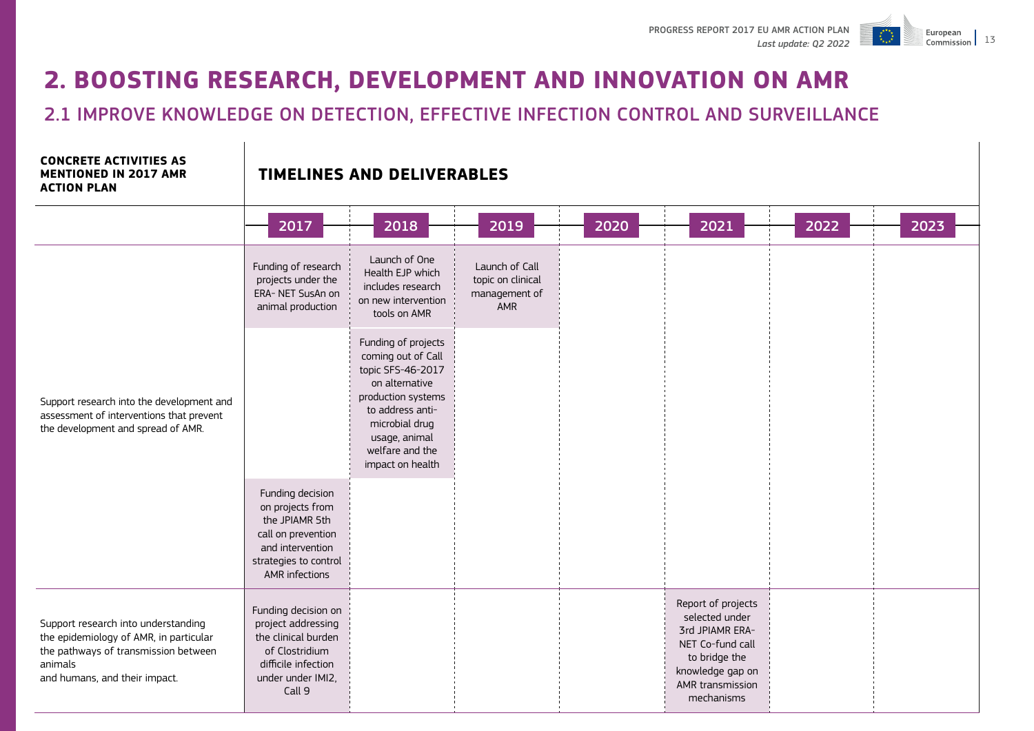Commission 13

European



2.1 IMPROVE KNOWLEDGE ON DETECTION, EFFECTIVE INFECTION CONTROL AND SURVEILLANCE

#### **CONCRETE ACTIVITIES AS MENTIONED IN 2017 AMR ACTION PLAN**

|                                                                                                                                                                   | 2017                                                                                                                                        | 2018                                                                                                                                                                                                 | 2019                                                        | 2020 | 2021                                                                                                                                               | 2022 | 2023 |
|-------------------------------------------------------------------------------------------------------------------------------------------------------------------|---------------------------------------------------------------------------------------------------------------------------------------------|------------------------------------------------------------------------------------------------------------------------------------------------------------------------------------------------------|-------------------------------------------------------------|------|----------------------------------------------------------------------------------------------------------------------------------------------------|------|------|
| Support research into the development and<br>assessment of interventions that prevent<br>the development and spread of AMR.                                       | Funding of research<br>projects under the<br>ERA- NET SusAn on<br>animal production                                                         | Launch of One<br>Health EJP which<br>includes research<br>on new intervention<br>tools on AMR                                                                                                        | Launch of Call<br>topic on clinical<br>management of<br>AMR |      |                                                                                                                                                    |      |      |
|                                                                                                                                                                   |                                                                                                                                             | Funding of projects<br>coming out of Call<br>topic SFS-46-2017<br>on alternative<br>production systems<br>to address anti-<br>microbial drug<br>usage, animal<br>welfare and the<br>impact on health |                                                             |      |                                                                                                                                                    |      |      |
|                                                                                                                                                                   | Funding decision<br>on projects from<br>the JPIAMR 5th<br>call on prevention<br>and intervention<br>strategies to control<br>AMR infections |                                                                                                                                                                                                      |                                                             |      |                                                                                                                                                    |      |      |
| Support research into understanding<br>the epidemiology of AMR, in particular<br>the pathways of transmission between<br>animals<br>and humans, and their impact. | Funding decision on<br>project addressing<br>the clinical burden<br>of Clostridium<br>difficile infection<br>under under IMI2,<br>Call 9    |                                                                                                                                                                                                      |                                                             |      | Report of projects<br>selected under<br>3rd JPIAMR ERA-<br>NET Co-fund call<br>to bridge the<br>knowledge gap on<br>AMR transmission<br>mechanisms |      |      |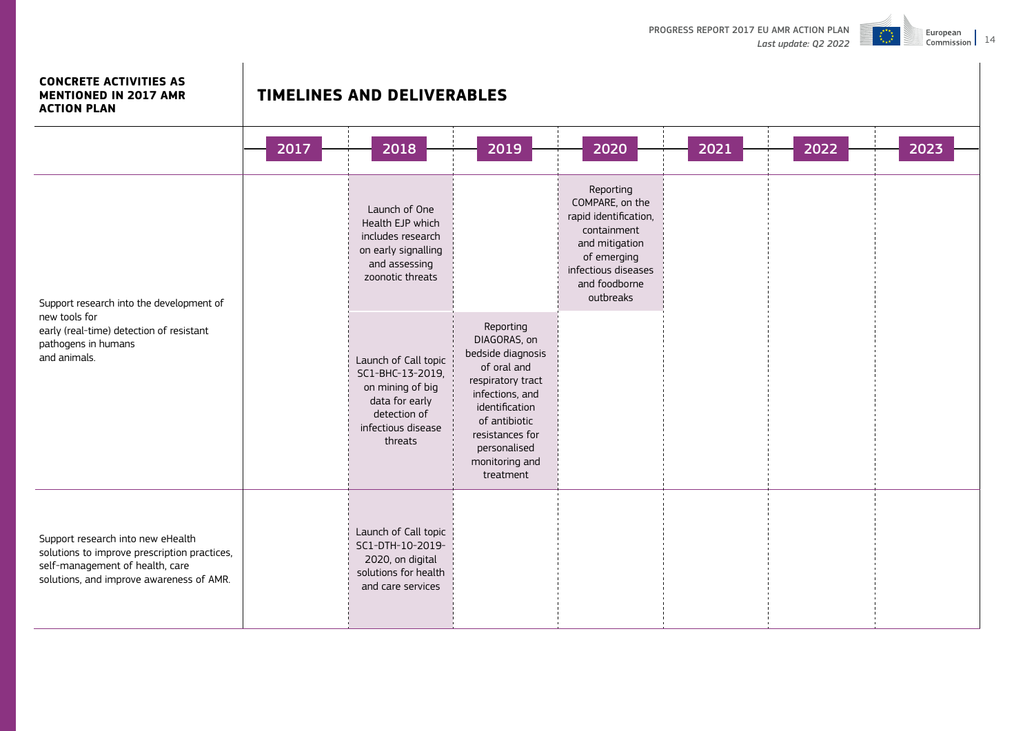

#### **CONCRETE ACTIVITIES AS MENTIONED IN 2017 AMR ACTION PLAN**

|                                                                                                                                                                  | 2017 | 2018                                                                                                                            | 2019                                                                                                                                                                                                       | 2020                                                                                                                                                       | 2021 | 2022 | 2023 |
|------------------------------------------------------------------------------------------------------------------------------------------------------------------|------|---------------------------------------------------------------------------------------------------------------------------------|------------------------------------------------------------------------------------------------------------------------------------------------------------------------------------------------------------|------------------------------------------------------------------------------------------------------------------------------------------------------------|------|------|------|
| Support research into the development of<br>new tools for<br>early (real-time) detection of resistant<br>pathogens in humans<br>and animals.                     |      | Launch of One<br>Health EJP which<br>includes research<br>on early signalling<br>and assessing<br>zoonotic threats              |                                                                                                                                                                                                            | Reporting<br>COMPARE, on the<br>rapid identification,<br>containment<br>and mitigation<br>of emerging<br>infectious diseases<br>and foodborne<br>outbreaks |      |      |      |
|                                                                                                                                                                  |      | Launch of Call topic<br>SC1-BHC-13-2019,<br>on mining of big<br>data for early<br>detection of<br>infectious disease<br>threats | Reporting<br>DIAGORAS, on<br>bedside diagnosis<br>of oral and<br>respiratory tract<br>infections, and<br>identification<br>of antibiotic<br>resistances for<br>personalised<br>monitoring and<br>treatment |                                                                                                                                                            |      |      |      |
| Support research into new eHealth<br>solutions to improve prescription practices,<br>self-management of health, care<br>solutions, and improve awareness of AMR. |      | Launch of Call topic<br>SC1-DTH-10-2019-<br>2020, on digital<br>solutions for health<br>and care services                       |                                                                                                                                                                                                            |                                                                                                                                                            |      |      |      |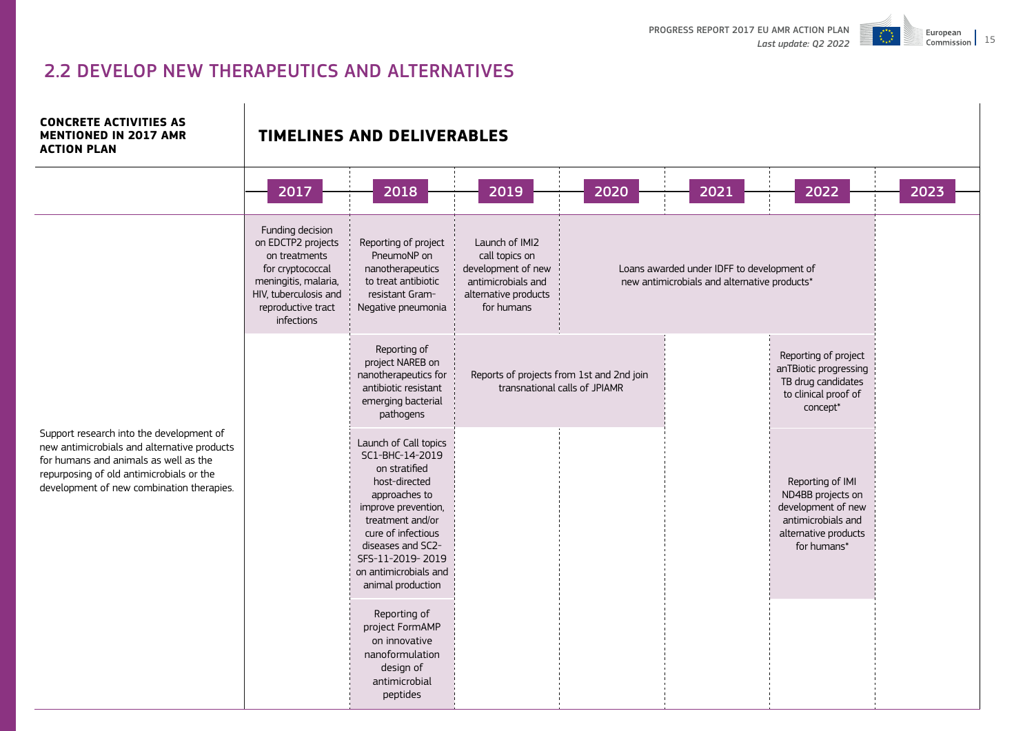

# 2.2 DEVELOP NEW THERAPEUTICS AND ALTERNATIVES

**CONCRETE ACTIVITIES AS MENTIONED IN 2017 AMR ACTION PLAN**

|                                                                                                                                                                                                                           | 2017                                                                                                                                                             | 2018                                                                                                                                                                                                                                                | 2019                                                                                                               | 2020                                                                       | 2021                                                                                       | 2022                                                                                                                     | 2023 |
|---------------------------------------------------------------------------------------------------------------------------------------------------------------------------------------------------------------------------|------------------------------------------------------------------------------------------------------------------------------------------------------------------|-----------------------------------------------------------------------------------------------------------------------------------------------------------------------------------------------------------------------------------------------------|--------------------------------------------------------------------------------------------------------------------|----------------------------------------------------------------------------|--------------------------------------------------------------------------------------------|--------------------------------------------------------------------------------------------------------------------------|------|
|                                                                                                                                                                                                                           | Funding decision<br>on EDCTP2 projects<br>on treatments<br>for cryptococcal<br>meningitis, malaria,<br>HIV, tuberculosis and<br>reproductive tract<br>infections | Reporting of project<br>PneumoNP on<br>nanotherapeutics<br>to treat antibiotic<br>resistant Gram-<br>Negative pneumonia                                                                                                                             | Launch of IMI2<br>call topics on<br>development of new<br>antimicrobials and<br>alternative products<br>for humans |                                                                            | Loans awarded under IDFF to development of<br>new antimicrobials and alternative products* |                                                                                                                          |      |
|                                                                                                                                                                                                                           |                                                                                                                                                                  | Reporting of<br>project NAREB on<br>nanotherapeutics for<br>antibiotic resistant<br>emerging bacterial<br>pathogens                                                                                                                                 |                                                                                                                    | Reports of projects from 1st and 2nd join<br>transnational calls of JPIAMR |                                                                                            | Reporting of project<br>anTBiotic progressing<br>TB drug candidates<br>to clinical proof of<br>concept*                  |      |
| Support research into the development of<br>new antimicrobials and alternative products<br>for humans and animals as well as the<br>repurposing of old antimicrobials or the<br>development of new combination therapies. |                                                                                                                                                                  | Launch of Call topics<br>SC1-BHC-14-2019<br>on stratified<br>host-directed<br>approaches to<br>improve prevention,<br>treatment and/or<br>cure of infectious<br>diseases and SC2-<br>SFS-11-2019-2019<br>on antimicrobials and<br>animal production |                                                                                                                    |                                                                            |                                                                                            | Reporting of IMI<br>ND4BB projects on<br>development of new<br>antimicrobials and<br>alternative products<br>for humans* |      |
|                                                                                                                                                                                                                           |                                                                                                                                                                  | Reporting of<br>project FormAMP<br>on innovative<br>nanoformulation<br>design of<br>antimicrobial<br>peptides                                                                                                                                       |                                                                                                                    |                                                                            |                                                                                            |                                                                                                                          |      |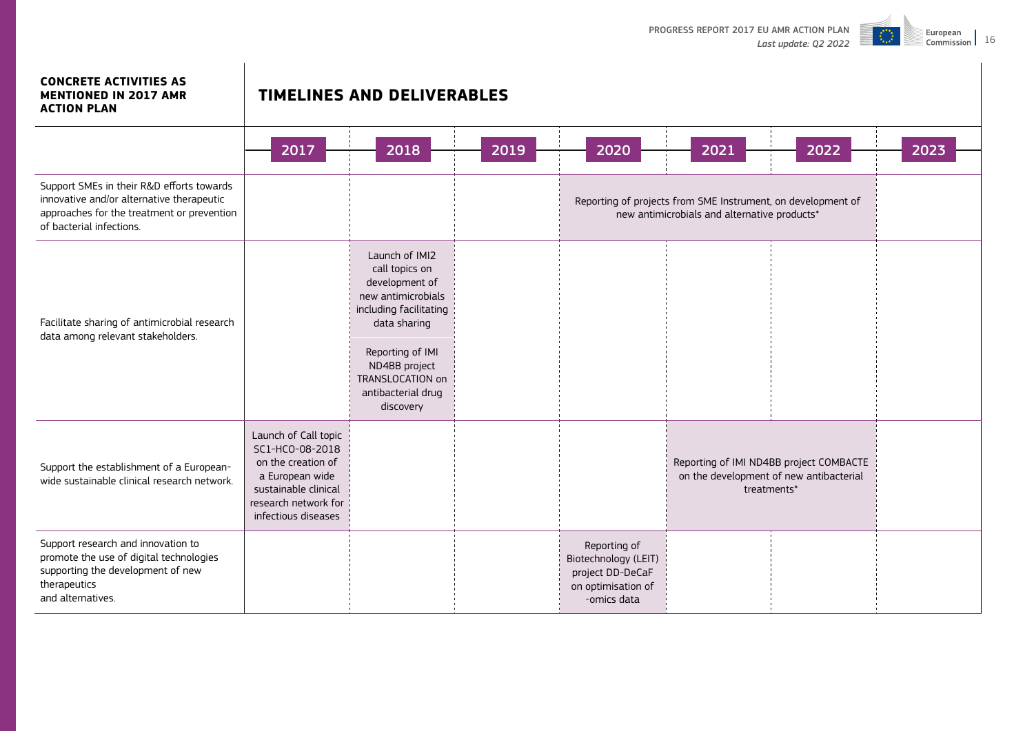

#### **CONCRETE ACTIVITIES AS MENTIONED IN 2017 AMR ACTION PLAN**

|                                                                                                                                                                  | 2017                                                                                                                                                    | 2018                                                                                                                                                                                                           | 2019 | 2020                                                                                          | 2021                                                                                                         | 2022                                                                                              | 2023 |
|------------------------------------------------------------------------------------------------------------------------------------------------------------------|---------------------------------------------------------------------------------------------------------------------------------------------------------|----------------------------------------------------------------------------------------------------------------------------------------------------------------------------------------------------------------|------|-----------------------------------------------------------------------------------------------|--------------------------------------------------------------------------------------------------------------|---------------------------------------------------------------------------------------------------|------|
| Support SMEs in their R&D efforts towards<br>innovative and/or alternative therapeutic<br>approaches for the treatment or prevention<br>of bacterial infections. |                                                                                                                                                         |                                                                                                                                                                                                                |      |                                                                                               | Reporting of projects from SME Instrument, on development of<br>new antimicrobials and alternative products* |                                                                                                   |      |
| Facilitate sharing of antimicrobial research<br>data among relevant stakeholders.                                                                                |                                                                                                                                                         | Launch of IMI2<br>call topics on<br>development of<br>new antimicrobials<br>including facilitating<br>data sharing<br>Reporting of IMI<br>ND4BB project<br>TRANSLOCATION on<br>antibacterial drug<br>discovery |      |                                                                                               |                                                                                                              |                                                                                                   |      |
| Support the establishment of a European-<br>wide sustainable clinical research network.                                                                          | Launch of Call topic<br>SC1-HCO-08-2018<br>on the creation of<br>a European wide<br>sustainable clinical<br>research network for<br>infectious diseases |                                                                                                                                                                                                                |      |                                                                                               |                                                                                                              | Reporting of IMI ND4BB project COMBACTE<br>on the development of new antibacterial<br>treatments* |      |
| Support research and innovation to<br>promote the use of digital technologies<br>supporting the development of new<br>therapeutics<br>and alternatives.          |                                                                                                                                                         |                                                                                                                                                                                                                |      | Reporting of<br>Biotechnology (LEIT)<br>project DD-DeCaF<br>on optimisation of<br>-omics data |                                                                                                              |                                                                                                   |      |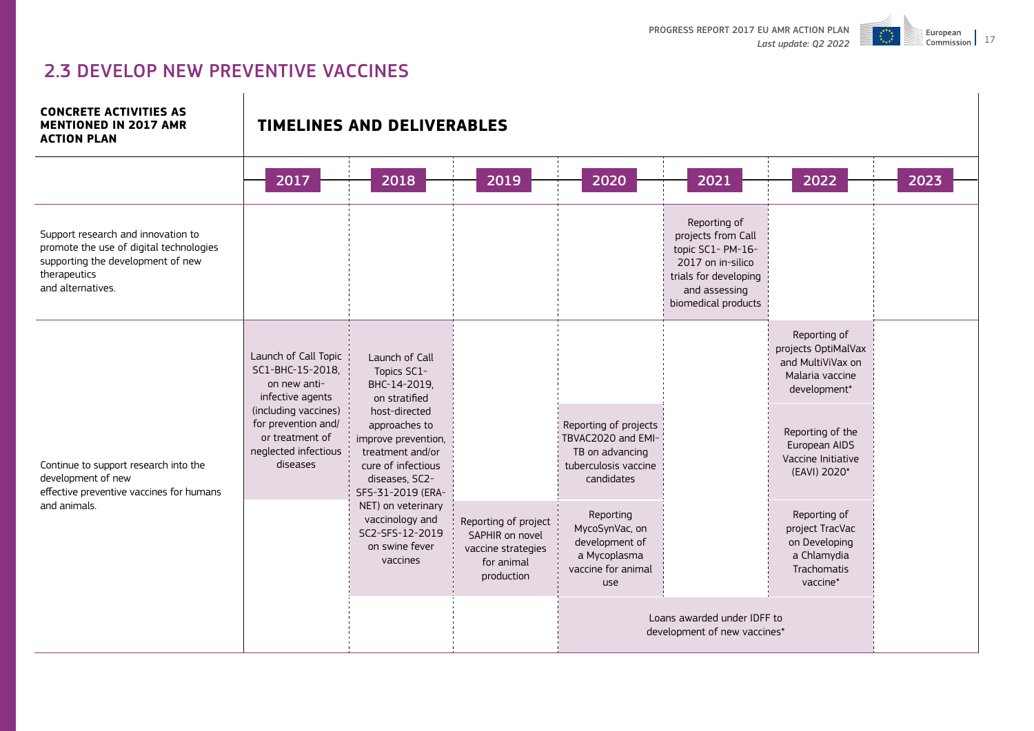

# 2.3 DEVELOP NEW PREVENTIVE VACCINES

#### **CONCRETE ACTIVITIES AS MENTIONED IN 2017 AMR ACTION PLAN**

|                                                                                                                                                         | 2017                                                                                               | 2018                                                                                                                                   | 2019                                                                                      | 2020                                                                                                 | 2021                                                                                                                                          | 2022                                                                                        |
|---------------------------------------------------------------------------------------------------------------------------------------------------------|----------------------------------------------------------------------------------------------------|----------------------------------------------------------------------------------------------------------------------------------------|-------------------------------------------------------------------------------------------|------------------------------------------------------------------------------------------------------|-----------------------------------------------------------------------------------------------------------------------------------------------|---------------------------------------------------------------------------------------------|
| Support research and innovation to<br>promote the use of digital technologies<br>supporting the development of new<br>therapeutics<br>and alternatives. |                                                                                                    |                                                                                                                                        |                                                                                           |                                                                                                      | Reporting of<br>projects from Call<br>topic SC1- PM-16-<br>2017 on in-silico<br>trials for developing<br>and assessing<br>biomedical products |                                                                                             |
|                                                                                                                                                         | Launch of Call Topic<br>SC1-BHC-15-2018,<br>on new anti-<br>infective agents                       | Launch of Call<br>Topics SC1-<br>BHC-14-2019,<br>on stratified                                                                         |                                                                                           |                                                                                                      |                                                                                                                                               | Reporting of<br>projects OptiMalVax<br>and MultiViVax on<br>Malaria vaccine<br>development* |
| Continue to support research into the<br>development of new<br>effective preventive vaccines for humans<br>and animals.                                 | (including vaccines)<br>for prevention and/<br>or treatment of<br>neglected infectious<br>diseases | host-directed<br>approaches to<br>improve prevention,<br>treatment and/or<br>cure of infectious<br>diseases, SC2-<br>SFS-31-2019 (ERA- |                                                                                           | Reporting of projects<br>TBVAC2020 and EMI-<br>TB on advancing<br>tuberculosis vaccine<br>candidates |                                                                                                                                               | Reporting of the<br>European AIDS<br>Vaccine Initiative<br>(EAVI) 2020*                     |
|                                                                                                                                                         |                                                                                                    | NET) on veterinary<br>vaccinology and<br>SC2-SFS-12-2019<br>on swine fever<br>vaccines                                                 | Reporting of project<br>SAPHIR on novel<br>vaccine strategies<br>for animal<br>production | Reporting<br>MycoSynVac, on<br>development of<br>a Mycoplasma<br>vaccine for animal<br>use           |                                                                                                                                               | Reporting of<br>project TracVac<br>on Developing<br>a Chlamydia<br>Trachomatis<br>vaccine*  |
|                                                                                                                                                         |                                                                                                    |                                                                                                                                        |                                                                                           |                                                                                                      | Loans awarded under IDFF to<br>development of new vaccines*                                                                                   |                                                                                             |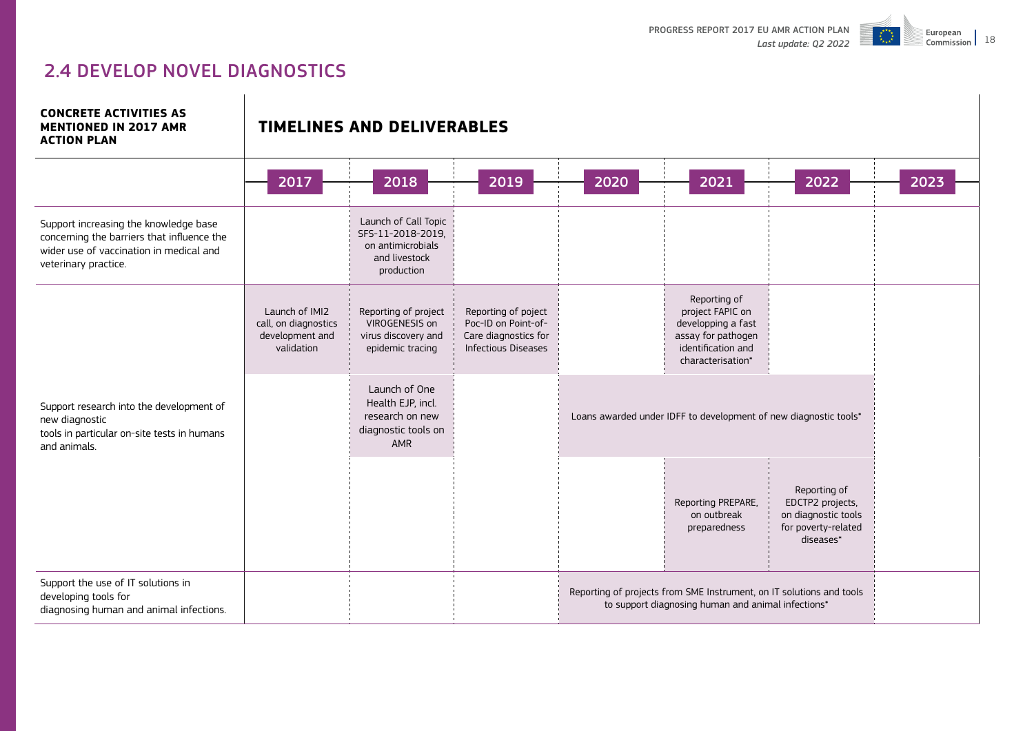

# 2.4 DEVELOP NOVEL DIAGNOSTICS

**CONCRETE ACTIVITIES AS MENTIONED IN 2017 AMR ACTION PLAN**

|                                                                                                                                                        | 2017                                                                    | 2018                                                                                          | 2019                                                                                             | 2020 | 2021                                                                                                                       | 2022                                                                                        |
|--------------------------------------------------------------------------------------------------------------------------------------------------------|-------------------------------------------------------------------------|-----------------------------------------------------------------------------------------------|--------------------------------------------------------------------------------------------------|------|----------------------------------------------------------------------------------------------------------------------------|---------------------------------------------------------------------------------------------|
| Support increasing the knowledge base<br>concerning the barriers that influence the<br>wider use of vaccination in medical and<br>veterinary practice. |                                                                         | Launch of Call Topic<br>SFS-11-2018-2019,<br>on antimicrobials<br>and livestock<br>production |                                                                                                  |      |                                                                                                                            |                                                                                             |
|                                                                                                                                                        | Launch of IMI2<br>call, on diagnostics<br>development and<br>validation | Reporting of project<br>VIROGENESIS on<br>virus discovery and<br>epidemic tracing             | Reporting of poject<br>Poc-ID on Point-of-<br>Care diagnostics for<br><b>Infectious Diseases</b> |      | Reporting of<br>project FAPIC on<br>developping a fast<br>assay for pathogen<br>identification and<br>characterisation*    |                                                                                             |
| Support research into the development of<br>new diagnostic<br>tools in particular on-site tests in humans<br>and animals.                              |                                                                         | Launch of One<br>Health EJP, incl.<br>research on new<br>diagnostic tools on<br><b>AMR</b>    |                                                                                                  |      | Loans awarded under IDFF to development of new diagnostic tools*                                                           |                                                                                             |
|                                                                                                                                                        |                                                                         |                                                                                               |                                                                                                  |      | Reporting PREPARE,<br>on outbreak<br>preparedness                                                                          | Reporting of<br>EDCTP2 projects,<br>on diagnostic tools<br>for poverty-related<br>diseases* |
| Support the use of IT solutions in<br>developing tools for<br>diagnosing human and animal infections.                                                  |                                                                         |                                                                                               |                                                                                                  |      | Reporting of projects from SME Instrument, on IT solutions and tools<br>to support diagnosing human and animal infections* |                                                                                             |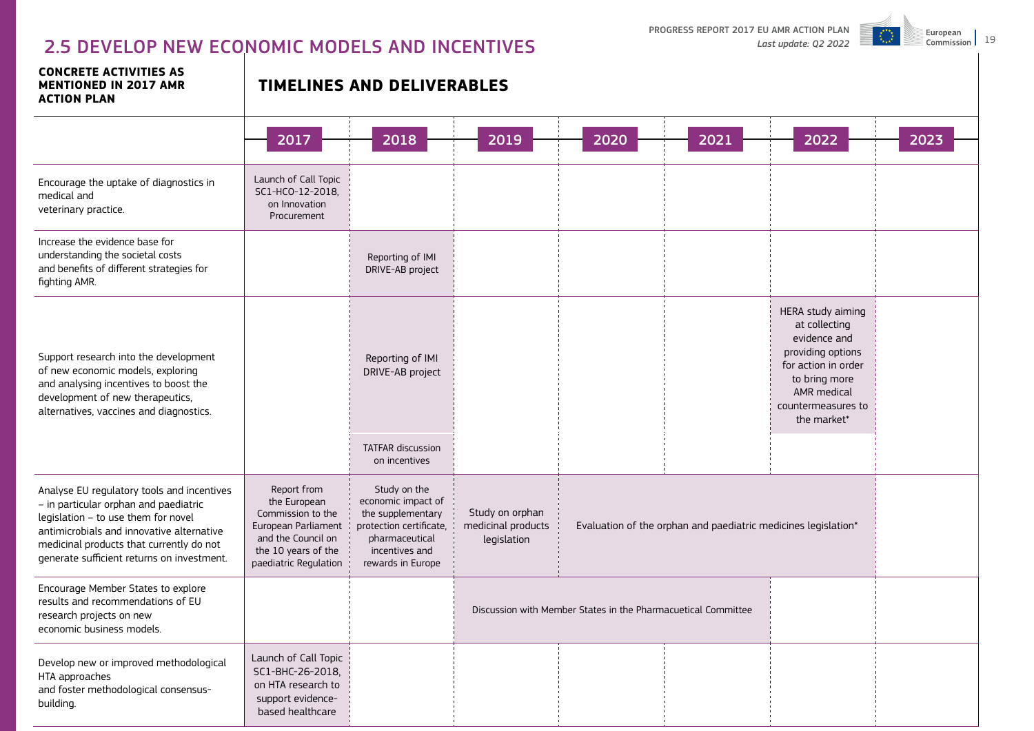# 2.5 DEVELOP NEW ECONOMIC MODELS AND INCENTIVES<sup>Last update: Q2 2022</sup>

PROGRESS REPORT 2017 EU AMR ACTION PLAN



| <b>CONCRETE ACTIVITIES AS</b><br><b>MENTIONED IN 2017 AMR</b><br><b>ACTION PLAN</b>                                                                                                                                                                               | <b>TIMELINES AND DELIVERABLES</b>                                                                                                             |                                                                                                                                             |                                                      |                                                               |                                                                |                                                                                                                                                                     |      |  |  |  |
|-------------------------------------------------------------------------------------------------------------------------------------------------------------------------------------------------------------------------------------------------------------------|-----------------------------------------------------------------------------------------------------------------------------------------------|---------------------------------------------------------------------------------------------------------------------------------------------|------------------------------------------------------|---------------------------------------------------------------|----------------------------------------------------------------|---------------------------------------------------------------------------------------------------------------------------------------------------------------------|------|--|--|--|
|                                                                                                                                                                                                                                                                   | 2017                                                                                                                                          | 2018                                                                                                                                        | 2019                                                 | 2020                                                          | 2021                                                           | 2022                                                                                                                                                                | 2023 |  |  |  |
| Encourage the uptake of diagnostics in<br>medical and<br>veterinary practice.                                                                                                                                                                                     | Launch of Call Topic<br>SC1-HCO-12-2018.<br>on Innovation<br>Procurement                                                                      |                                                                                                                                             |                                                      |                                                               |                                                                |                                                                                                                                                                     |      |  |  |  |
| Increase the evidence base for<br>understanding the societal costs<br>and benefits of different strategies for<br>fighting AMR.                                                                                                                                   |                                                                                                                                               | Reporting of IMI<br>DRIVE-AB project                                                                                                        |                                                      |                                                               |                                                                |                                                                                                                                                                     |      |  |  |  |
| Support research into the development<br>of new economic models, exploring<br>and analysing incentives to boost the<br>development of new therapeutics,<br>alternatives, vaccines and diagnostics.                                                                |                                                                                                                                               | Reporting of IMI<br>DRIVE-AB project                                                                                                        |                                                      |                                                               |                                                                | HERA study aiming<br>at collecting<br>evidence and<br>providing options<br>for action in order<br>to bring more<br>AMR medical<br>countermeasures to<br>the market* |      |  |  |  |
|                                                                                                                                                                                                                                                                   |                                                                                                                                               | <b>TATFAR discussion</b><br>on incentives                                                                                                   |                                                      |                                                               |                                                                |                                                                                                                                                                     |      |  |  |  |
| Analyse EU regulatory tools and incentives<br>- in particular orphan and paediatric<br>legislation - to use them for novel<br>antimicrobials and innovative alternative<br>medicinal products that currently do not<br>generate sufficient returns on investment. | Report from<br>the European<br>Commission to the<br>European Parliament<br>and the Council on<br>the 10 years of the<br>paediatric Regulation | Study on the<br>economic impact of<br>the supplementary<br>protection certificate,<br>pharmaceutical<br>incentives and<br>rewards in Europe | Study on orphan<br>medicinal products<br>legislation |                                                               | Evaluation of the orphan and paediatric medicines legislation* |                                                                                                                                                                     |      |  |  |  |
| Encourage Member States to explore<br>results and recommendations of EU<br>research projects on new<br>economic business models.                                                                                                                                  |                                                                                                                                               |                                                                                                                                             |                                                      | Discussion with Member States in the Pharmacuetical Committee |                                                                |                                                                                                                                                                     |      |  |  |  |
| Develop new or improved methodological<br>HTA approaches<br>and foster methodological consensus-<br>building.                                                                                                                                                     | Launch of Call Topic<br>SC1-BHC-26-2018,<br>on HTA research to<br>support evidence-<br>based healthcare                                       |                                                                                                                                             |                                                      |                                                               |                                                                |                                                                                                                                                                     |      |  |  |  |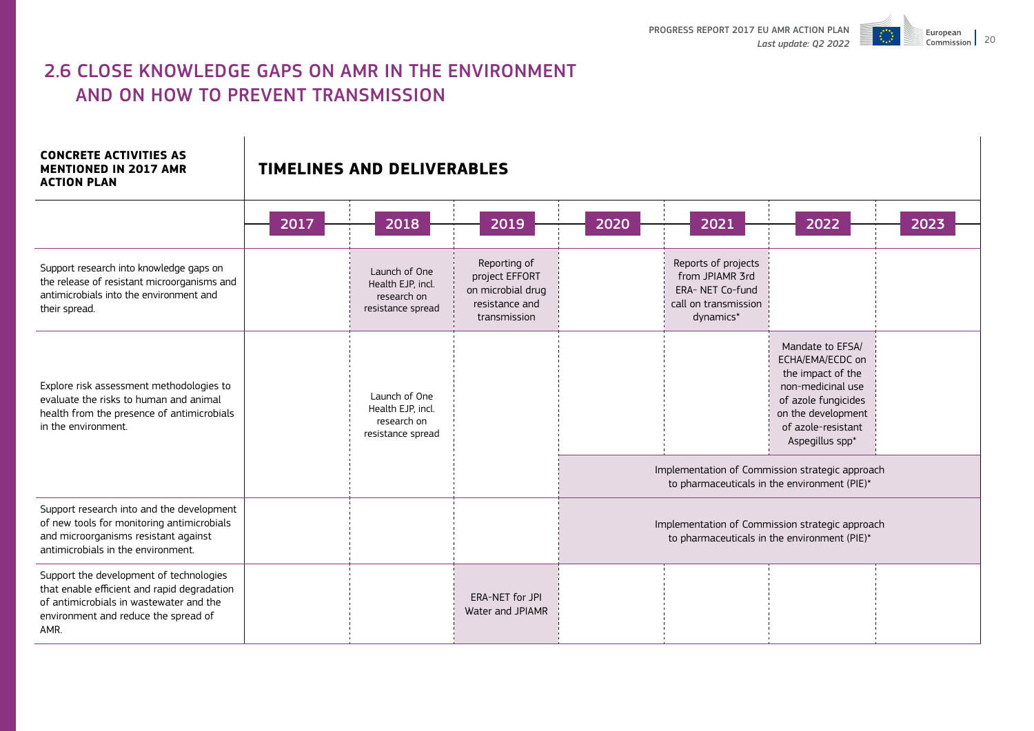

# 2.6 CLOSE KNOWLEDGE GAPS ON AMR IN THE ENVIRONMENT AND ON HOW TO PREVENT TRANSMISSION

#### **CONCRETE ACTIVITIES AS MENTIONED IN 2017 AMR ACTION PLAN**

|                                                                                                                                                                                   | 2017                                                                   | 2018                                                                   | 2019                                                                                  | 2020                                                                                            | 2021                                                                                                                                                                 | 2022 | 2023 |  |
|-----------------------------------------------------------------------------------------------------------------------------------------------------------------------------------|------------------------------------------------------------------------|------------------------------------------------------------------------|---------------------------------------------------------------------------------------|-------------------------------------------------------------------------------------------------|----------------------------------------------------------------------------------------------------------------------------------------------------------------------|------|------|--|
| Support research into knowledge gaps on<br>the release of resistant microorganisms and<br>antimicrobials into the environment and<br>their spread.                                |                                                                        | Launch of One<br>Health EJP, incl.<br>research on<br>resistance spread | Reporting of<br>project EFFORT<br>on microbial drug<br>resistance and<br>transmission |                                                                                                 | Reports of projects<br>from JPIAMR 3rd<br>ERA- NET Co-fund<br>call on transmission<br>dynamics*                                                                      |      |      |  |
| Explore risk assessment methodologies to<br>evaluate the risks to human and animal<br>health from the presence of antimicrobials<br>in the environment.                           | Launch of One<br>Health EJP, incl.<br>research on<br>resistance spread |                                                                        |                                                                                       |                                                                                                 | Mandate to EFSA/<br>ECHA/EMA/ECDC on<br>the impact of the<br>non-medicinal use<br>of azole fungicides<br>on the development<br>of azole-resistant<br>Aspegillus spp* |      |      |  |
|                                                                                                                                                                                   |                                                                        |                                                                        |                                                                                       | Implementation of Commission strategic approach<br>to pharmaceuticals in the environment (PIE)* |                                                                                                                                                                      |      |      |  |
| Support research into and the development<br>of new tools for monitoring antimicrobials<br>and microorganisms resistant against<br>antimicrobials in the environment.             |                                                                        |                                                                        |                                                                                       | Implementation of Commission strategic approach<br>to pharmaceuticals in the environment (PIE)* |                                                                                                                                                                      |      |      |  |
| Support the development of technologies<br>that enable efficient and rapid degradation<br>of antimicrobials in wastewater and the<br>environment and reduce the spread of<br>AMR. |                                                                        |                                                                        | ERA-NET for JPI<br>Water and JPIAMR                                                   |                                                                                                 |                                                                                                                                                                      |      |      |  |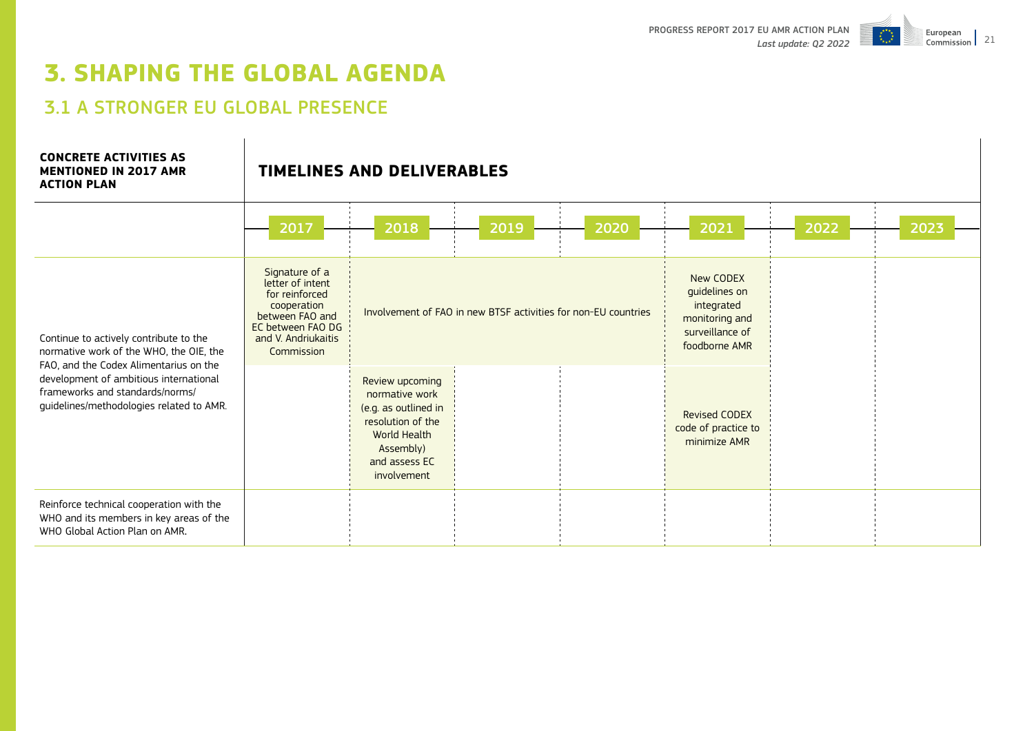

# **3. SHAPING THE GLOBAL AGENDA**

# 3.1 A STRONGER EU GLOBAL PRESENCE

#### **CONCRETE ACTIVITIES AS MENTIONED IN 2017 AMR ACTION PLAN**

|                                                                                                                             | 2017                                                                                                                                             | 2018                                                                                                                                        | 2019                                                           | 2020 | 2021                                                                                           | 2022 | 2023 |
|-----------------------------------------------------------------------------------------------------------------------------|--------------------------------------------------------------------------------------------------------------------------------------------------|---------------------------------------------------------------------------------------------------------------------------------------------|----------------------------------------------------------------|------|------------------------------------------------------------------------------------------------|------|------|
| Continue to actively contribute to the<br>normative work of the WHO, the OIE, the<br>FAO, and the Codex Alimentarius on the | Signature of a<br>letter of intent<br>for reinforced<br>cooperation<br>between FAO and<br>EC between FAO DG<br>and V. Andriukaitis<br>Commission |                                                                                                                                             | Involvement of FAO in new BTSF activities for non-EU countries |      | New CODEX<br>guidelines on<br>integrated<br>monitoring and<br>surveillance of<br>foodborne AMR |      |      |
| development of ambitious international<br>frameworks and standards/norms/<br>guidelines/methodologies related to AMR.       |                                                                                                                                                  | Review upcoming<br>normative work<br>(e.g. as outlined in<br>resolution of the<br>World Health<br>Assembly)<br>and assess EC<br>involvement |                                                                |      | <b>Revised CODEX</b><br>code of practice to<br>minimize AMR                                    |      |      |
| Reinforce technical cooperation with the<br>WHO and its members in key areas of the<br>WHO Global Action Plan on AMR.       |                                                                                                                                                  |                                                                                                                                             |                                                                |      |                                                                                                |      |      |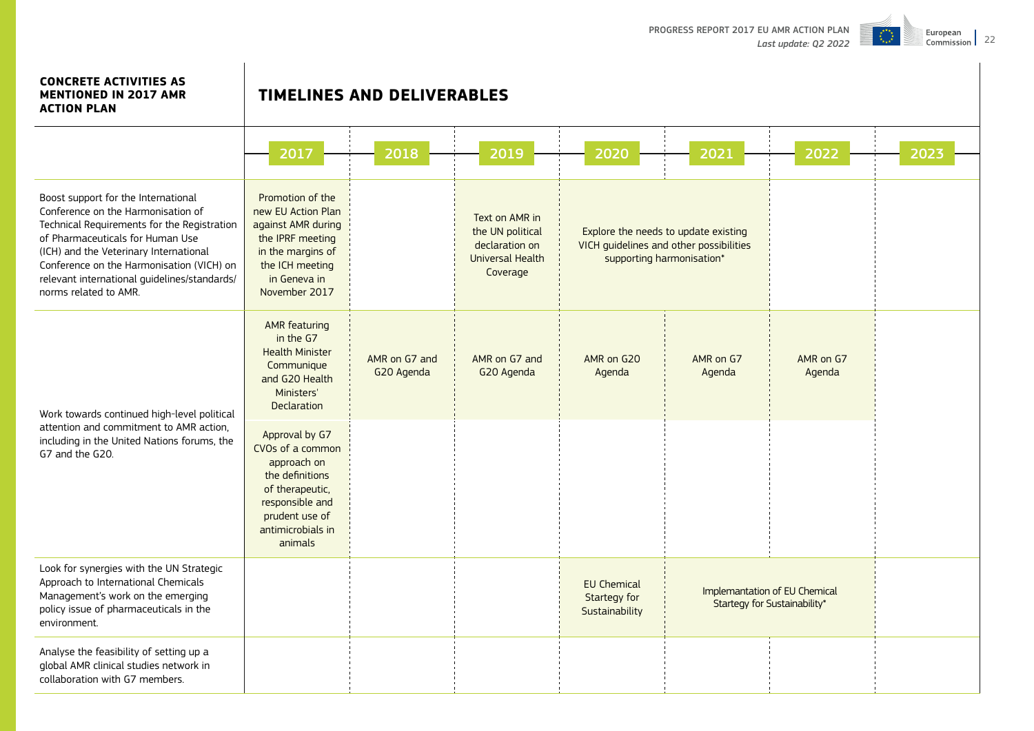

## **CONCRETE ACTIVITIES AS MENTIONED IN 2017 AMR**

| <b>ACTION PLAN</b>                                                                                                                                                                                                                                                                                                           |                                                                                                                                                              |                             |                                                                                      |                                                      |                                                                                 |                     |      |
|------------------------------------------------------------------------------------------------------------------------------------------------------------------------------------------------------------------------------------------------------------------------------------------------------------------------------|--------------------------------------------------------------------------------------------------------------------------------------------------------------|-----------------------------|--------------------------------------------------------------------------------------|------------------------------------------------------|---------------------------------------------------------------------------------|---------------------|------|
|                                                                                                                                                                                                                                                                                                                              | 2017                                                                                                                                                         | 2018                        | 2019                                                                                 | 2020                                                 | 2021                                                                            | 2022                | 2023 |
| Boost support for the International<br>Conference on the Harmonisation of<br>Technical Requirements for the Registration<br>of Pharmaceuticals for Human Use<br>(ICH) and the Veterinary International<br>Conference on the Harmonisation (VICH) on<br>relevant international guidelines/standards/<br>norms related to AMR. | Promotion of the<br>new EU Action Plan<br>against AMR during<br>the IPRF meeting<br>in the margins of<br>the ICH meeting<br>in Geneva in<br>November 2017    |                             | Text on AMR in<br>the UN political<br>declaration on<br>Universal Health<br>Coverage | supporting harmonisation*                            | Explore the needs to update existing<br>VICH guidelines and other possibilities |                     |      |
| Work towards continued high-level political                                                                                                                                                                                                                                                                                  | <b>AMR</b> featuring<br>in the G7<br><b>Health Minister</b><br>Communique<br>and G20 Health<br>Ministers'<br><b>Declaration</b>                              | AMR on G7 and<br>G20 Agenda | AMR on G7 and<br>G20 Agenda                                                          | AMR on G20<br>Agenda                                 | AMR on G7<br>Agenda                                                             | AMR on G7<br>Agenda |      |
| attention and commitment to AMR action,<br>including in the United Nations forums, the<br>G7 and the G20.                                                                                                                                                                                                                    | Approval by G7<br>CVOs of a common<br>approach on<br>the definitions<br>of therapeutic,<br>responsible and<br>prudent use of<br>antimicrobials in<br>animals |                             |                                                                                      |                                                      |                                                                                 |                     |      |
| Look for synergies with the UN Strategic<br>Approach to International Chemicals<br>Management's work on the emerging<br>policy issue of pharmaceuticals in the<br>environment.                                                                                                                                               |                                                                                                                                                              |                             |                                                                                      | <b>EU Chemical</b><br>Startegy for<br>Sustainability | Implemantation of EU Chemical<br>Startegy for Sustainability*                   |                     |      |
| Analyse the feasibility of setting up a<br>global AMR clinical studies network in<br>collaboration with G7 members.                                                                                                                                                                                                          |                                                                                                                                                              |                             |                                                                                      |                                                      |                                                                                 |                     |      |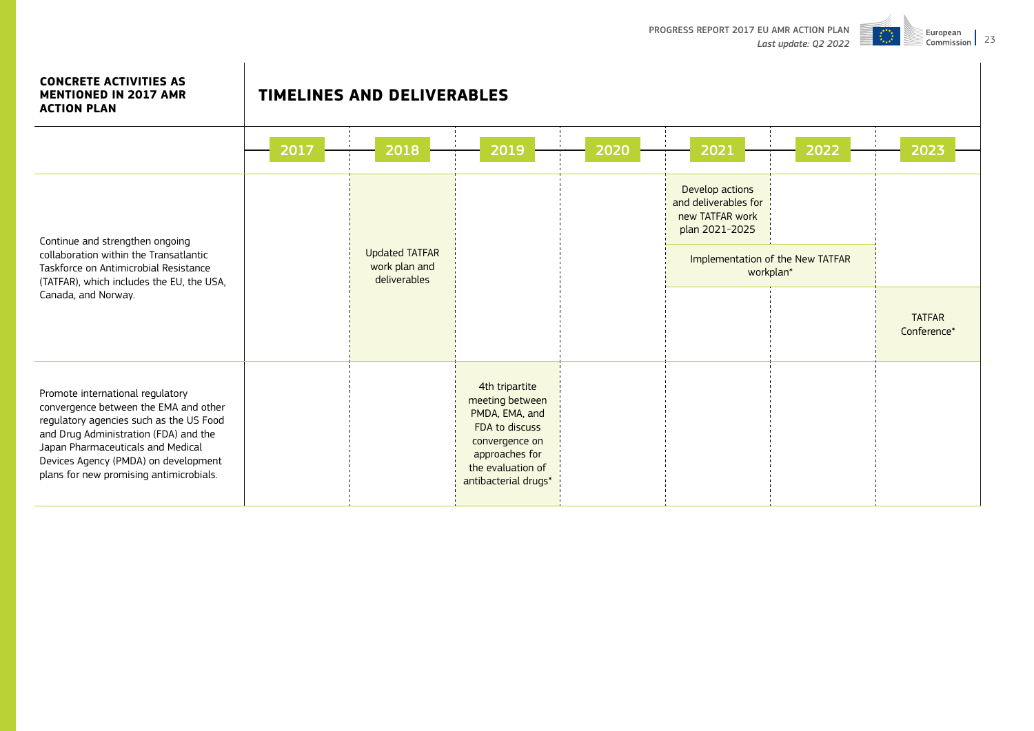

#### **CONCRETE ACTIVITIES AS MENTIONED IN 2017 AMR ACTION PLAN**

|                                                                                                                                                                                                                                                                                       | 2017 | 2018                                                   | 2019                                                                                                                                                   | 2020 | 2021                                                                         | 2022                                          | 2023                         |
|---------------------------------------------------------------------------------------------------------------------------------------------------------------------------------------------------------------------------------------------------------------------------------------|------|--------------------------------------------------------|--------------------------------------------------------------------------------------------------------------------------------------------------------|------|------------------------------------------------------------------------------|-----------------------------------------------|------------------------------|
| Continue and strengthen ongoing<br>collaboration within the Transatlantic<br>Taskforce on Antimicrobial Resistance<br>(TATFAR), which includes the EU, the USA,                                                                                                                       |      | <b>Updated TATFAR</b><br>work plan and<br>deliverables |                                                                                                                                                        |      | Develop actions<br>and deliverables for<br>new TATFAR work<br>plan 2021-2025 | Implementation of the New TATFAR<br>workplan* |                              |
| Canada, and Norway.                                                                                                                                                                                                                                                                   |      |                                                        |                                                                                                                                                        |      |                                                                              |                                               | <b>TATFAR</b><br>Conference* |
| Promote international regulatory<br>convergence between the EMA and other<br>regulatory agencies such as the US Food<br>and Drug Administration (FDA) and the<br>Japan Pharmaceuticals and Medical<br>Devices Agency (PMDA) on development<br>plans for new promising antimicrobials. |      |                                                        | 4th tripartite<br>meeting between<br>PMDA, EMA, and<br>FDA to discuss<br>convergence on<br>approaches for<br>the evaluation of<br>antibacterial drugs* |      |                                                                              |                                               |                              |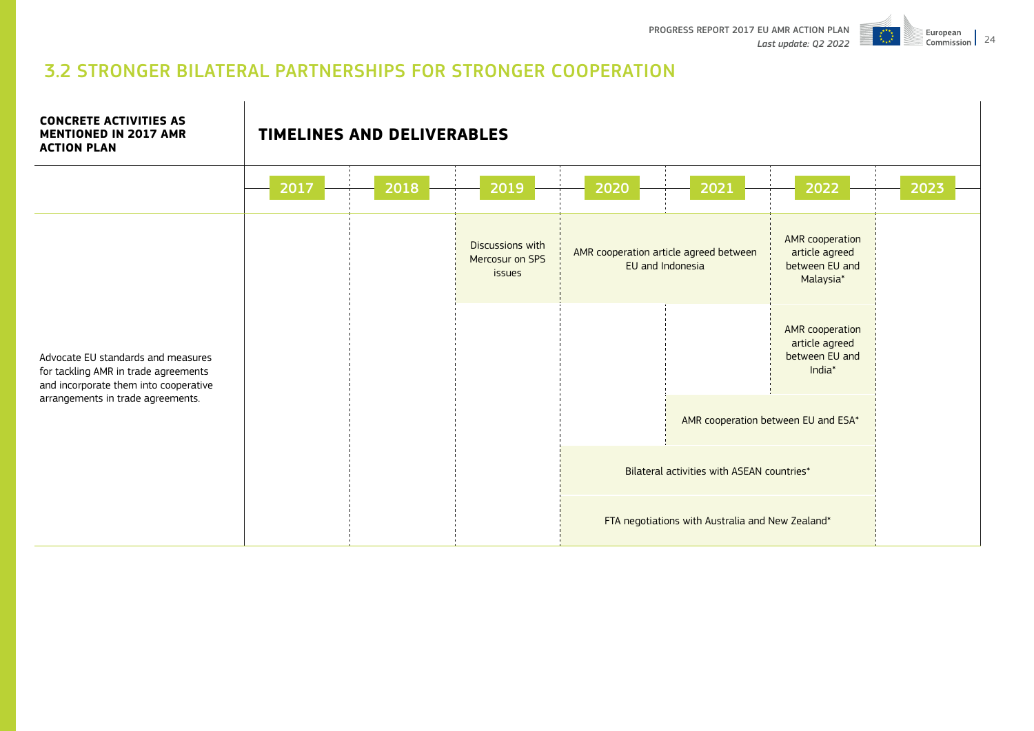

# 3.2 STRONGER BILATERAL PARTNERSHIPS FOR STRONGER COOPERATION

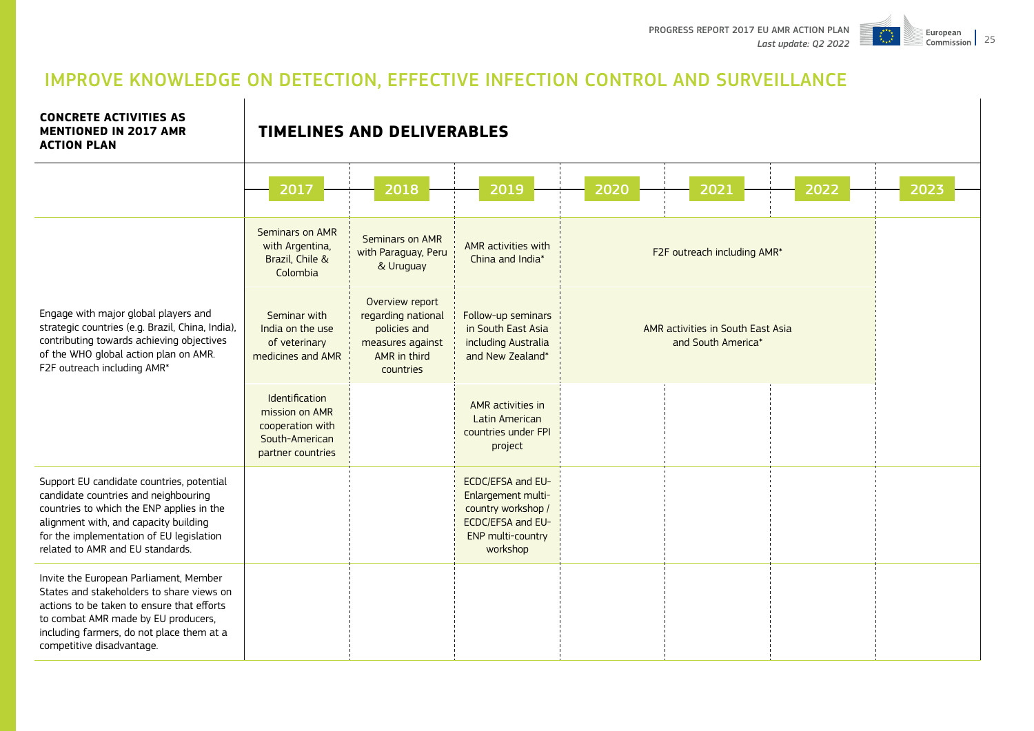

# IMPROVE KNOWLEDGE ON DETECTION, EFFECTIVE INFECTION CONTROL AND SURVEILLANCE

**CONCRETE ACTIVITIES AS MENTIONED IN 2017 AMR ACTION PLAN**

|                                                                                                                                                                                                                                                         | 2017                                                                                        | 2018                                                                                                   | 2019                                                                                                                       | 2020                        | 2021                                                    | 2022 | 2023 |
|---------------------------------------------------------------------------------------------------------------------------------------------------------------------------------------------------------------------------------------------------------|---------------------------------------------------------------------------------------------|--------------------------------------------------------------------------------------------------------|----------------------------------------------------------------------------------------------------------------------------|-----------------------------|---------------------------------------------------------|------|------|
|                                                                                                                                                                                                                                                         | Seminars on AMR<br>with Argentina,<br>Brazil, Chile &<br>Colombia                           | Seminars on AMR<br>with Paraguay, Peru<br>& Uruguay                                                    | AMR activities with<br>China and India*                                                                                    | F2F outreach including AMR* |                                                         |      |      |
| Engage with major global players and<br>strategic countries (e.g. Brazil, China, India),<br>contributing towards achieving objectives<br>of the WHO global action plan on AMR.<br>F2F outreach including AMR*                                           | Seminar with<br>India on the use<br>of veterinary<br>medicines and AMR                      | Overview report<br>regarding national<br>policies and<br>measures against<br>AMR in third<br>countries | Follow-up seminars<br>in South East Asia<br>including Australia<br>and New Zealand*                                        |                             | AMR activities in South East Asia<br>and South America* |      |      |
|                                                                                                                                                                                                                                                         | Identification<br>mission on AMR<br>cooperation with<br>South-American<br>partner countries |                                                                                                        | AMR activities in<br>Latin American<br>countries under FPI<br>project                                                      |                             |                                                         |      |      |
| Support EU candidate countries, potential<br>candidate countries and neighbouring<br>countries to which the ENP applies in the<br>alignment with, and capacity building<br>for the implementation of EU legislation<br>related to AMR and EU standards. |                                                                                             |                                                                                                        | <b>ECDC/EFSA and EU-</b><br>Enlargement multi-<br>country workshop /<br>ECDC/EFSA and EU-<br>ENP multi-country<br>workshop |                             |                                                         |      |      |
| Invite the European Parliament, Member<br>States and stakeholders to share views on<br>actions to be taken to ensure that efforts<br>to combat AMR made by EU producers,<br>including farmers, do not place them at a<br>competitive disadvantage.      |                                                                                             |                                                                                                        |                                                                                                                            |                             |                                                         |      |      |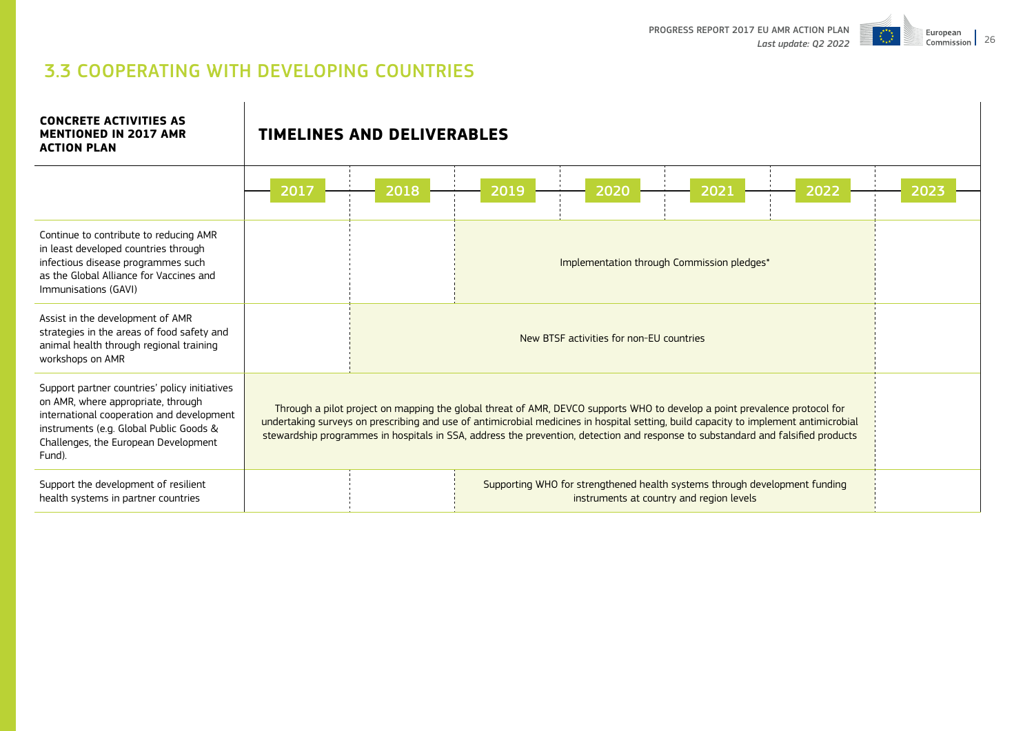

# 3.3 COOPERATING WITH DEVELOPING COUNTRIES

**TIMELINES AND DELIVERABLES**

**CONCRETE ACTIVITIES AS MENTIONED IN 2017 AMR** 

| <b>ACTION PLAN</b>                                                                                                                                                                                                            |      |      |                                                                                                                                                                                                                                                                                                                                                                                                        |      |                                            |      |      |  |  |
|-------------------------------------------------------------------------------------------------------------------------------------------------------------------------------------------------------------------------------|------|------|--------------------------------------------------------------------------------------------------------------------------------------------------------------------------------------------------------------------------------------------------------------------------------------------------------------------------------------------------------------------------------------------------------|------|--------------------------------------------|------|------|--|--|
|                                                                                                                                                                                                                               | 2017 | 2018 | 2019                                                                                                                                                                                                                                                                                                                                                                                                   | 2020 | 2021                                       | 2022 | 2023 |  |  |
| Continue to contribute to reducing AMR<br>in least developed countries through<br>infectious disease programmes such<br>as the Global Alliance for Vaccines and<br>Immunisations (GAVI)                                       |      |      |                                                                                                                                                                                                                                                                                                                                                                                                        |      | Implementation through Commission pledges* |      |      |  |  |
| Assist in the development of AMR<br>strategies in the areas of food safety and<br>animal health through regional training<br>workshops on AMR                                                                                 |      |      | New BTSF activities for non-EU countries                                                                                                                                                                                                                                                                                                                                                               |      |                                            |      |      |  |  |
| Support partner countries' policy initiatives<br>on AMR, where appropriate, through<br>international cooperation and development<br>instruments (e.g. Global Public Goods &<br>Challenges, the European Development<br>Fund). |      |      | Through a pilot project on mapping the global threat of AMR, DEVCO supports WHO to develop a point prevalence protocol for<br>undertaking surveys on prescribing and use of antimicrobial medicines in hospital setting, build capacity to implement antimicrobial<br>stewardship programmes in hospitals in SSA, address the prevention, detection and response to substandard and falsified products |      |                                            |      |      |  |  |
| Support the development of resilient<br>health systems in partner countries                                                                                                                                                   |      |      | Supporting WHO for strengthened health systems through development funding                                                                                                                                                                                                                                                                                                                             |      | instruments at country and region levels   |      |      |  |  |